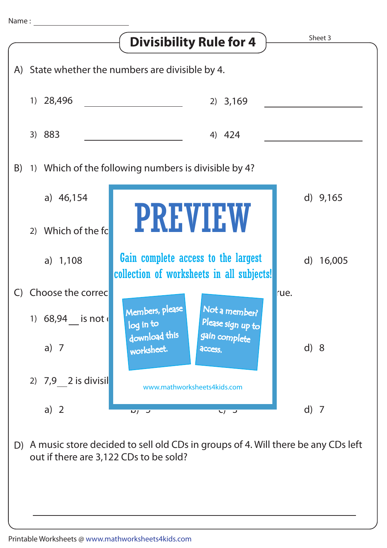